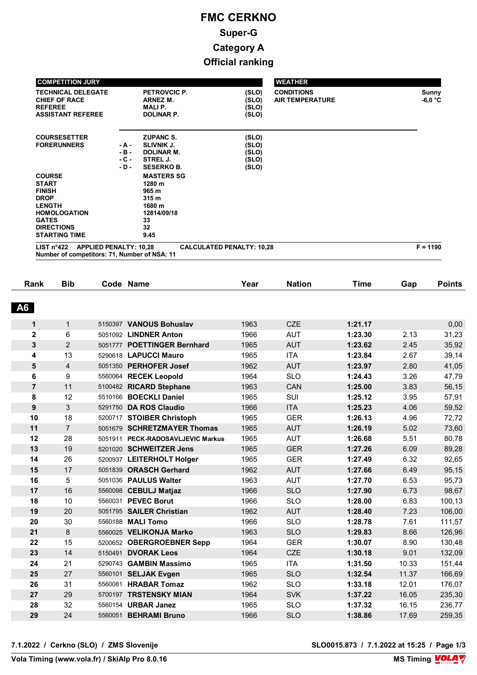| <b>COMPETITION JURY</b>                                                                                                                                            |                                      |                                                                                                       |                                           | <b>WEATHER</b>                              |                    |
|--------------------------------------------------------------------------------------------------------------------------------------------------------------------|--------------------------------------|-------------------------------------------------------------------------------------------------------|-------------------------------------------|---------------------------------------------|--------------------|
| <b>TECHNICAL DELEGATE</b><br><b>CHIEF OF RACE</b><br><b>REFEREE</b><br><b>ASSISTANT REFEREE</b>                                                                    |                                      | <b>PETROVCIC P.</b><br>ARNEZ M.<br><b>MALIP.</b><br><b>DOLINAR P.</b>                                 | (SLO)<br>(SLO)<br>(SLO)<br>(SLO)          | <b>CONDITIONS</b><br><b>AIR TEMPERATURE</b> | Sunny<br>$-6,0$ °C |
| <b>COURSESETTER</b><br><b>FORERUNNERS</b>                                                                                                                          | $-A -$<br>$-B -$<br>$-C -$<br>$-D -$ | <b>ZUPANC S.</b><br><b>SLIVNIK J.</b><br><b>DOLINAR M.</b><br>STREL J.<br><b>SESERKO B.</b>           | (SLO)<br>(SLO)<br>(SLO)<br>(SLO)<br>(SLO) |                                             |                    |
| <b>COURSE</b><br><b>START</b><br><b>FINISH</b><br><b>DROP</b><br><b>LENGTH</b><br><b>HOMOLOGATION</b><br><b>GATES</b><br><b>DIRECTIONS</b><br><b>STARTING TIME</b> |                                      | <b>MASTERS SG</b><br>1280 m<br>965 m<br>315 <sub>m</sub><br>1680 m<br>12814/09/18<br>33<br>32<br>9.45 |                                           |                                             |                    |
| LIST $n^{\circ}422$<br><b>APPLIED PENALTY: 10,28</b><br>Number of competitors: 71, Number of NSA: 11                                                               |                                      |                                                                                                       | <b>CALCULATED PENALTY: 10,28</b>          |                                             | $F = 1190$         |

| <b>A6</b><br>$\mathbf{1}$<br>CZE<br>5150397 VANOUS Bohuslav<br>1963<br>1:21.17<br>1<br>$\mathbf{2}$<br>6<br>1966<br><b>AUT</b><br>1:23.30<br>5051092 LINDNER Anton<br>3<br>$\overline{2}$<br><b>POETTINGER Bernhard</b><br>1965<br><b>AUT</b><br>1:23.62<br>5051777<br>13<br>1965<br><b>ITA</b><br>4<br>5290618 LAPUCCI Mauro<br>1:23.84<br>5<br>$\overline{4}$<br>5051350 PERHOFER Josef<br>1962<br><b>AUT</b><br>1:23.97<br>6<br>9<br>1964<br><b>SLO</b><br>1:24.43<br>5560064 RECEK Leopold<br>CAN<br>1:25.00<br>$\overline{7}$<br>11<br>5100482 RICARD Stephane<br>1963<br>SUI<br>8<br>12<br>1965<br>1:25.12<br><b>BOECKLI Daniel</b><br>5510166<br>3<br>9<br><b>ITA</b><br>5291750 DA ROS Claudio<br>1966<br>1:25.23<br>10<br><b>GER</b><br>18<br>5200717 STOIBER Christoph<br>1965<br>1:26.13<br>$\overline{7}$<br>11<br>1965<br><b>AUT</b><br>1:26.19<br>5051679 SCHRETZMAYER Thomas<br>12<br><b>AUT</b><br>28<br>1965<br>1:26.68<br><b>PECK-RADOSAVLJEVIC Markus</b><br>5051911<br>13<br>19<br>1965<br><b>GER</b><br>1:27.26<br>5201020 SCHWEITZER Jens<br>14<br>26<br><b>GER</b><br>5200937 LEITERHOLT Holger<br>1965<br>1:27.49<br>15<br>17<br>1962<br><b>AUT</b><br>5051839 ORASCH Gerhard<br>1:27.66<br>16<br>5<br>1963<br><b>AUT</b><br>1:27.70<br>5051036 PAULUS Walter<br>16<br><b>SLO</b><br>17<br>1966<br>1:27.90<br>5560098 CEBULJ Matjaz<br>18<br>10<br><b>SLO</b><br>5560031 PEVEC Borut<br>1966<br>1:28.00<br><b>AUT</b><br>19<br>20<br>5051795 SAILER Christian<br>1962<br>1:28.40<br>20<br>30<br>1966<br><b>SLO</b><br>1:28.78<br>5560188 MALI Tomo<br><b>SLO</b><br>21<br>8<br>1963<br>1:29.83<br>5560025 VELIKONJA Marko<br>15<br>22<br>1964<br><b>GER</b><br>1:30.07<br>5200652 OBERGROEBNER Sepp<br><b>CZE</b><br>14<br>23<br><b>DVORAK Leos</b><br>1964<br>1:30.18<br>5150491<br>24<br>21<br><b>ITA</b><br><b>GAMBIN Massimo</b><br>1965<br>1:31.50<br>5290743<br>27<br><b>SLO</b><br>25<br>1965<br>1:32.54<br>5560101 SELJAK Evgen<br><b>SLO</b><br>31<br>1962<br>1:33.18<br>26<br>5560081 HRABAR Tomaz | Rank | <b>Bib</b> | Code Name              | Year | <b>Nation</b> | Time    | Gap   | <b>Points</b> |
|--------------------------------------------------------------------------------------------------------------------------------------------------------------------------------------------------------------------------------------------------------------------------------------------------------------------------------------------------------------------------------------------------------------------------------------------------------------------------------------------------------------------------------------------------------------------------------------------------------------------------------------------------------------------------------------------------------------------------------------------------------------------------------------------------------------------------------------------------------------------------------------------------------------------------------------------------------------------------------------------------------------------------------------------------------------------------------------------------------------------------------------------------------------------------------------------------------------------------------------------------------------------------------------------------------------------------------------------------------------------------------------------------------------------------------------------------------------------------------------------------------------------------------------------------------------------------------------------------------------------------------------------------------------------------------------------------------------------------------------------------------------------------------------------------------------------------------------------------------------------------------------------------------------------------------------------------------------------------------------------------------------------------------------|------|------------|------------------------|------|---------------|---------|-------|---------------|
|                                                                                                                                                                                                                                                                                                                                                                                                                                                                                                                                                                                                                                                                                                                                                                                                                                                                                                                                                                                                                                                                                                                                                                                                                                                                                                                                                                                                                                                                                                                                                                                                                                                                                                                                                                                                                                                                                                                                                                                                                                      |      |            |                        |      |               |         |       |               |
|                                                                                                                                                                                                                                                                                                                                                                                                                                                                                                                                                                                                                                                                                                                                                                                                                                                                                                                                                                                                                                                                                                                                                                                                                                                                                                                                                                                                                                                                                                                                                                                                                                                                                                                                                                                                                                                                                                                                                                                                                                      |      |            |                        |      |               |         |       | 0,00          |
|                                                                                                                                                                                                                                                                                                                                                                                                                                                                                                                                                                                                                                                                                                                                                                                                                                                                                                                                                                                                                                                                                                                                                                                                                                                                                                                                                                                                                                                                                                                                                                                                                                                                                                                                                                                                                                                                                                                                                                                                                                      |      |            |                        |      |               |         | 2.13  | 31,23         |
|                                                                                                                                                                                                                                                                                                                                                                                                                                                                                                                                                                                                                                                                                                                                                                                                                                                                                                                                                                                                                                                                                                                                                                                                                                                                                                                                                                                                                                                                                                                                                                                                                                                                                                                                                                                                                                                                                                                                                                                                                                      |      |            |                        |      |               |         | 2.45  | 35,92         |
|                                                                                                                                                                                                                                                                                                                                                                                                                                                                                                                                                                                                                                                                                                                                                                                                                                                                                                                                                                                                                                                                                                                                                                                                                                                                                                                                                                                                                                                                                                                                                                                                                                                                                                                                                                                                                                                                                                                                                                                                                                      |      |            |                        |      |               |         | 2.67  | 39,14         |
|                                                                                                                                                                                                                                                                                                                                                                                                                                                                                                                                                                                                                                                                                                                                                                                                                                                                                                                                                                                                                                                                                                                                                                                                                                                                                                                                                                                                                                                                                                                                                                                                                                                                                                                                                                                                                                                                                                                                                                                                                                      |      |            |                        |      |               |         | 2.80  | 41,05         |
|                                                                                                                                                                                                                                                                                                                                                                                                                                                                                                                                                                                                                                                                                                                                                                                                                                                                                                                                                                                                                                                                                                                                                                                                                                                                                                                                                                                                                                                                                                                                                                                                                                                                                                                                                                                                                                                                                                                                                                                                                                      |      |            |                        |      |               |         | 3.26  | 47,79         |
|                                                                                                                                                                                                                                                                                                                                                                                                                                                                                                                                                                                                                                                                                                                                                                                                                                                                                                                                                                                                                                                                                                                                                                                                                                                                                                                                                                                                                                                                                                                                                                                                                                                                                                                                                                                                                                                                                                                                                                                                                                      |      |            |                        |      |               |         | 3.83  | 56,15         |
|                                                                                                                                                                                                                                                                                                                                                                                                                                                                                                                                                                                                                                                                                                                                                                                                                                                                                                                                                                                                                                                                                                                                                                                                                                                                                                                                                                                                                                                                                                                                                                                                                                                                                                                                                                                                                                                                                                                                                                                                                                      |      |            |                        |      |               |         | 3.95  | 57,91         |
|                                                                                                                                                                                                                                                                                                                                                                                                                                                                                                                                                                                                                                                                                                                                                                                                                                                                                                                                                                                                                                                                                                                                                                                                                                                                                                                                                                                                                                                                                                                                                                                                                                                                                                                                                                                                                                                                                                                                                                                                                                      |      |            |                        |      |               |         | 4.06  | 59,52         |
|                                                                                                                                                                                                                                                                                                                                                                                                                                                                                                                                                                                                                                                                                                                                                                                                                                                                                                                                                                                                                                                                                                                                                                                                                                                                                                                                                                                                                                                                                                                                                                                                                                                                                                                                                                                                                                                                                                                                                                                                                                      |      |            |                        |      |               |         | 4.96  | 72,72         |
|                                                                                                                                                                                                                                                                                                                                                                                                                                                                                                                                                                                                                                                                                                                                                                                                                                                                                                                                                                                                                                                                                                                                                                                                                                                                                                                                                                                                                                                                                                                                                                                                                                                                                                                                                                                                                                                                                                                                                                                                                                      |      |            |                        |      |               |         | 5.02  | 73,60         |
|                                                                                                                                                                                                                                                                                                                                                                                                                                                                                                                                                                                                                                                                                                                                                                                                                                                                                                                                                                                                                                                                                                                                                                                                                                                                                                                                                                                                                                                                                                                                                                                                                                                                                                                                                                                                                                                                                                                                                                                                                                      |      |            |                        |      |               |         | 5.51  | 80,78         |
|                                                                                                                                                                                                                                                                                                                                                                                                                                                                                                                                                                                                                                                                                                                                                                                                                                                                                                                                                                                                                                                                                                                                                                                                                                                                                                                                                                                                                                                                                                                                                                                                                                                                                                                                                                                                                                                                                                                                                                                                                                      |      |            |                        |      |               |         | 6.09  | 89,28         |
|                                                                                                                                                                                                                                                                                                                                                                                                                                                                                                                                                                                                                                                                                                                                                                                                                                                                                                                                                                                                                                                                                                                                                                                                                                                                                                                                                                                                                                                                                                                                                                                                                                                                                                                                                                                                                                                                                                                                                                                                                                      |      |            |                        |      |               |         | 6.32  | 92,65         |
|                                                                                                                                                                                                                                                                                                                                                                                                                                                                                                                                                                                                                                                                                                                                                                                                                                                                                                                                                                                                                                                                                                                                                                                                                                                                                                                                                                                                                                                                                                                                                                                                                                                                                                                                                                                                                                                                                                                                                                                                                                      |      |            |                        |      |               |         | 6.49  | 95,15         |
|                                                                                                                                                                                                                                                                                                                                                                                                                                                                                                                                                                                                                                                                                                                                                                                                                                                                                                                                                                                                                                                                                                                                                                                                                                                                                                                                                                                                                                                                                                                                                                                                                                                                                                                                                                                                                                                                                                                                                                                                                                      |      |            |                        |      |               |         | 6.53  | 95,73         |
|                                                                                                                                                                                                                                                                                                                                                                                                                                                                                                                                                                                                                                                                                                                                                                                                                                                                                                                                                                                                                                                                                                                                                                                                                                                                                                                                                                                                                                                                                                                                                                                                                                                                                                                                                                                                                                                                                                                                                                                                                                      |      |            |                        |      |               |         | 6.73  | 98,67         |
|                                                                                                                                                                                                                                                                                                                                                                                                                                                                                                                                                                                                                                                                                                                                                                                                                                                                                                                                                                                                                                                                                                                                                                                                                                                                                                                                                                                                                                                                                                                                                                                                                                                                                                                                                                                                                                                                                                                                                                                                                                      |      |            |                        |      |               |         | 6.83  | 100,13        |
|                                                                                                                                                                                                                                                                                                                                                                                                                                                                                                                                                                                                                                                                                                                                                                                                                                                                                                                                                                                                                                                                                                                                                                                                                                                                                                                                                                                                                                                                                                                                                                                                                                                                                                                                                                                                                                                                                                                                                                                                                                      |      |            |                        |      |               |         | 7.23  | 106,00        |
|                                                                                                                                                                                                                                                                                                                                                                                                                                                                                                                                                                                                                                                                                                                                                                                                                                                                                                                                                                                                                                                                                                                                                                                                                                                                                                                                                                                                                                                                                                                                                                                                                                                                                                                                                                                                                                                                                                                                                                                                                                      |      |            |                        |      |               |         | 7.61  | 111,57        |
|                                                                                                                                                                                                                                                                                                                                                                                                                                                                                                                                                                                                                                                                                                                                                                                                                                                                                                                                                                                                                                                                                                                                                                                                                                                                                                                                                                                                                                                                                                                                                                                                                                                                                                                                                                                                                                                                                                                                                                                                                                      |      |            |                        |      |               |         | 8.66  | 126,96        |
|                                                                                                                                                                                                                                                                                                                                                                                                                                                                                                                                                                                                                                                                                                                                                                                                                                                                                                                                                                                                                                                                                                                                                                                                                                                                                                                                                                                                                                                                                                                                                                                                                                                                                                                                                                                                                                                                                                                                                                                                                                      |      |            |                        |      |               |         | 8.90  | 130,48        |
|                                                                                                                                                                                                                                                                                                                                                                                                                                                                                                                                                                                                                                                                                                                                                                                                                                                                                                                                                                                                                                                                                                                                                                                                                                                                                                                                                                                                                                                                                                                                                                                                                                                                                                                                                                                                                                                                                                                                                                                                                                      |      |            |                        |      |               |         | 9.01  | 132,09        |
|                                                                                                                                                                                                                                                                                                                                                                                                                                                                                                                                                                                                                                                                                                                                                                                                                                                                                                                                                                                                                                                                                                                                                                                                                                                                                                                                                                                                                                                                                                                                                                                                                                                                                                                                                                                                                                                                                                                                                                                                                                      |      |            |                        |      |               |         | 10.33 | 151,44        |
|                                                                                                                                                                                                                                                                                                                                                                                                                                                                                                                                                                                                                                                                                                                                                                                                                                                                                                                                                                                                                                                                                                                                                                                                                                                                                                                                                                                                                                                                                                                                                                                                                                                                                                                                                                                                                                                                                                                                                                                                                                      |      |            |                        |      |               |         | 11.37 | 166,69        |
|                                                                                                                                                                                                                                                                                                                                                                                                                                                                                                                                                                                                                                                                                                                                                                                                                                                                                                                                                                                                                                                                                                                                                                                                                                                                                                                                                                                                                                                                                                                                                                                                                                                                                                                                                                                                                                                                                                                                                                                                                                      |      |            |                        |      |               |         | 12.01 | 176,07        |
|                                                                                                                                                                                                                                                                                                                                                                                                                                                                                                                                                                                                                                                                                                                                                                                                                                                                                                                                                                                                                                                                                                                                                                                                                                                                                                                                                                                                                                                                                                                                                                                                                                                                                                                                                                                                                                                                                                                                                                                                                                      | 27   | 29         | 5700197 TRSTENSKY MIAN | 1964 | <b>SVK</b>    | 1:37.22 | 16.05 | 235,30        |
| 32<br>28<br>5560154 URBAR Janez<br>1965<br><b>SLO</b><br>1:37.32                                                                                                                                                                                                                                                                                                                                                                                                                                                                                                                                                                                                                                                                                                                                                                                                                                                                                                                                                                                                                                                                                                                                                                                                                                                                                                                                                                                                                                                                                                                                                                                                                                                                                                                                                                                                                                                                                                                                                                     |      |            |                        |      |               |         | 16.15 | 236,77        |
| 29<br>24<br><b>SLO</b><br>5560051 BEHRAMI Bruno<br>1966<br>1:38.86                                                                                                                                                                                                                                                                                                                                                                                                                                                                                                                                                                                                                                                                                                                                                                                                                                                                                                                                                                                                                                                                                                                                                                                                                                                                                                                                                                                                                                                                                                                                                                                                                                                                                                                                                                                                                                                                                                                                                                   |      |            |                        |      |               |         | 17.69 | 259,35        |

**7.1.2022 / Cerkno (SLO) / ZMS Slovenije SLO0015.873 / 7.1.2022 at 15:25 / Page 1/3**

**Vola Timing (www.vola.fr) / SkiAlp Pro 8.0.16**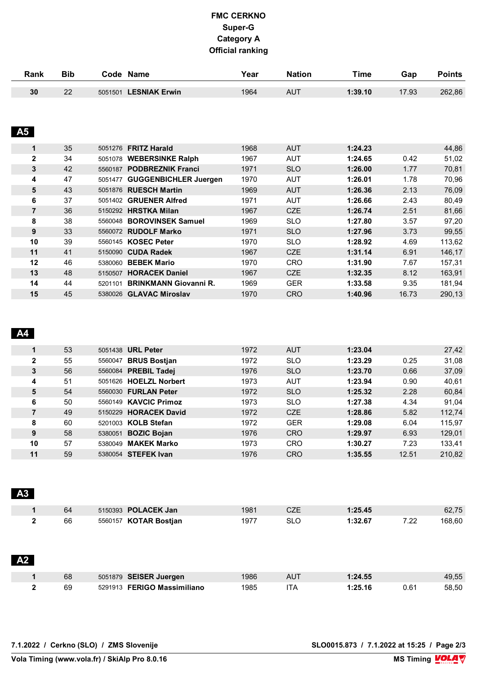| Rank           | <b>Bib</b> |         | Code Name                     | Year | <b>Nation</b> | <b>Time</b> | Gap   | <b>Points</b> |
|----------------|------------|---------|-------------------------------|------|---------------|-------------|-------|---------------|
| 30             | 22         |         | 5051501 LESNIAK Erwin         | 1964 | <b>AUT</b>    | 1:39.10     | 17.93 | 262,86        |
|                |            |         |                               |      |               |             |       |               |
|                |            |         |                               |      |               |             |       |               |
| <b>A5</b>      |            |         |                               |      |               |             |       |               |
| 1              | 35         | 5051276 | <b>FRITZ Harald</b>           | 1968 | <b>AUT</b>    | 1:24.23     |       | 44,86         |
| $\mathbf{2}$   | 34         | 5051078 | <b>WEBERSINKE Ralph</b>       | 1967 | AUT           | 1:24.65     | 0.42  | 51,02         |
| 3              | 42         | 5560187 | <b>PODBREZNIK Franci</b>      | 1971 | <b>SLO</b>    | 1:26.00     | 1.77  | 70,81         |
| 4              | 47         | 5051477 | <b>GUGGENBICHLER Juergen</b>  | 1970 | AUT           | 1:26.01     | 1.78  | 70,96         |
| 5              | 43         | 5051876 | <b>RUESCH Martin</b>          | 1969 | <b>AUT</b>    | 1:26.36     | 2.13  | 76,09         |
| 6              | 37         | 5051402 | <b>GRUENER Alfred</b>         | 1971 | AUT           | 1:26.66     | 2.43  | 80,49         |
| $\overline{7}$ | 36         | 5150292 | <b>HRSTKA Milan</b>           | 1967 | <b>CZE</b>    | 1:26.74     | 2.51  | 81,66         |
| 8              | 38         | 5560048 | <b>BOROVINSEK Samuel</b>      | 1969 | <b>SLO</b>    | 1:27.80     | 3.57  | 97,20         |
| 9              | 33         | 5560072 | <b>RUDOLF Marko</b>           | 1971 | <b>SLO</b>    | 1:27.96     | 3.73  | 99,55         |
| 10             | 39         |         | 5560145 KOSEC Peter           | 1970 | <b>SLO</b>    | 1:28.92     | 4.69  | 113,62        |
| 11             | 41         | 5150090 | <b>CUDA Radek</b>             | 1967 | <b>CZE</b>    | 1:31.14     | 6.91  | 146,17        |
| 12             | 46         | 5380060 | <b>BEBEK Mario</b>            | 1970 | <b>CRO</b>    | 1:31.90     | 7.67  | 157,31        |
| 13             | 48         | 5150507 | <b>HORACEK Daniel</b>         | 1967 | <b>CZE</b>    | 1:32.35     | 8.12  | 163,91        |
| 14             | 44         |         | 5201101 BRINKMANN Giovanni R. | 1969 | <b>GER</b>    | 1:33.58     | 9.35  | 181,94        |

#### **A4**

|              | 53 |         | 5051438 URL Peter          | 1972 | <b>AUT</b> | 1:23.04 |       | 27,42  |
|--------------|----|---------|----------------------------|------|------------|---------|-------|--------|
| $\mathbf{2}$ | 55 | 5560047 | <b>BRUS Bostian</b>        | 1972 | <b>SLO</b> | 1:23.29 | 0.25  | 31,08  |
| 3            | 56 |         | 5560084 PREBIL Tadej       | 1976 | <b>SLO</b> | 1:23.70 | 0.66  | 37,09  |
| 4            | 51 |         | 5051626 HOELZL Norbert     | 1973 | <b>AUT</b> | 1:23.94 | 0.90  | 40,61  |
| 5            | 54 |         | 5560030 FURLAN Peter       | 1972 | <b>SLO</b> | 1:25.32 | 2.28  | 60,84  |
| 6            | 50 |         | 5560149 KAVCIC Primoz      | 1973 | <b>SLO</b> | 1:27.38 | 4.34  | 91.04  |
| 7            | 49 |         | 5150229 HORACEK David      | 1972 | <b>CZE</b> | 1:28.86 | 5.82  | 112,74 |
| 8            | 60 |         | 5201003 KOLB Stefan        | 1972 | <b>GER</b> | 1:29.08 | 6.04  | 115,97 |
| 9            | 58 |         | 5380051 <b>BOZIC Bojan</b> | 1976 | <b>CRO</b> | 1:29.97 | 6.93  | 129,01 |
| 10           | 57 | 5380049 | <b>MAKEK Marko</b>         | 1973 | <b>CRO</b> | 1:30.27 | 7.23  | 133,41 |
| 11           | 59 |         | 5380054 STEFEK Ivan        | 1976 | <b>CRO</b> | 1:35.55 | 12.51 | 210.82 |

**15** 45 5380026 **GLAVAC Miroslav** 1970 CRO **1:40.96** 16.73 290,13

| A3 |    |                            |      |     |         |      |        |
|----|----|----------------------------|------|-----|---------|------|--------|
|    | 64 | 5150393 <b>POLACEK Jan</b> | 1981 | CZE | 1:25.45 |      | 62,75  |
|    | 66 | 5560157 KOTAR Bostjan      | 1977 | SLO | 1:32.67 | 7.22 | 168,60 |

| A2 |    |                             |      |     |         |      |       |
|----|----|-----------------------------|------|-----|---------|------|-------|
|    | 68 | 5051879 SEISER Juergen      | 1986 | AUT | 1:24.55 |      | 49,55 |
|    | 69 | 5291913 FERIGO Massimiliano | 1985 | ۱TA | 1:25.16 | 0.61 | 58,50 |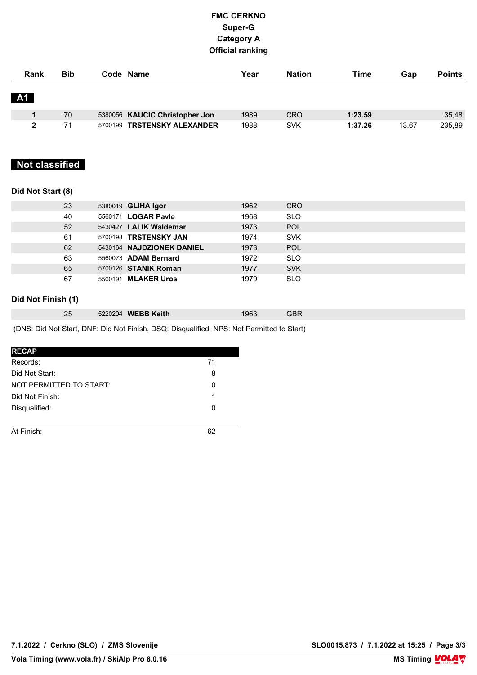| Rank         | <b>Bib</b> | Code Name                      | Year | <b>Nation</b> | Time    | Gap   | <b>Points</b> |
|--------------|------------|--------------------------------|------|---------------|---------|-------|---------------|
| <b>A1</b>    |            |                                |      |               |         |       |               |
|              | 70         | 5380056 KAUCIC Christopher Jon | 1989 | <b>CRO</b>    | 1:23.59 |       | 35,48         |
| $\mathbf{2}$ | 71         | 5700199 TRSTENSKY ALEXANDER    | 1988 | <b>SVK</b>    | 1:37.26 | 13.67 | 235,89        |

## **Not classified**

#### **Did Not Start (8)**

| 23 | 5380019 GLIHA Igor         | 1962 | <b>CRO</b> |
|----|----------------------------|------|------------|
| 40 | 5560171 LOGAR Pavle        | 1968 | <b>SLO</b> |
| 52 | 5430427 LALIK Waldemar     | 1973 | POL        |
| 61 | 5700198 TRSTENSKY JAN      | 1974 | <b>SVK</b> |
| 62 | 5430164 NAJDZIONEK DANIEL  | 1973 | <b>POL</b> |
| 63 | 5560073 ADAM Bernard       | 1972 | <b>SLO</b> |
| 65 | 5700126 STANIK Roman       | 1977 | <b>SVK</b> |
| 67 | 5560191 <b>MLAKER Uros</b> | 1979 | <b>SLO</b> |
|    |                            |      |            |

### **Did Not Finish (1)**

| 5220204 WEBB Keith<br>25 | 1963 | חסי<br>3DK |  |
|--------------------------|------|------------|--|
|--------------------------|------|------------|--|

(DNS: Did Not Start, DNF: Did Not Finish, DSQ: Disqualified, NPS: Not Permitted to Start)

| <b>RECAP</b>            |    |
|-------------------------|----|
| Records:                | 71 |
| Did Not Start:          | 8  |
| NOT PERMITTED TO START: | 0  |
| Did Not Finish:         | 1  |
| Disqualified:           | 0  |
|                         |    |
| At Finish:              |    |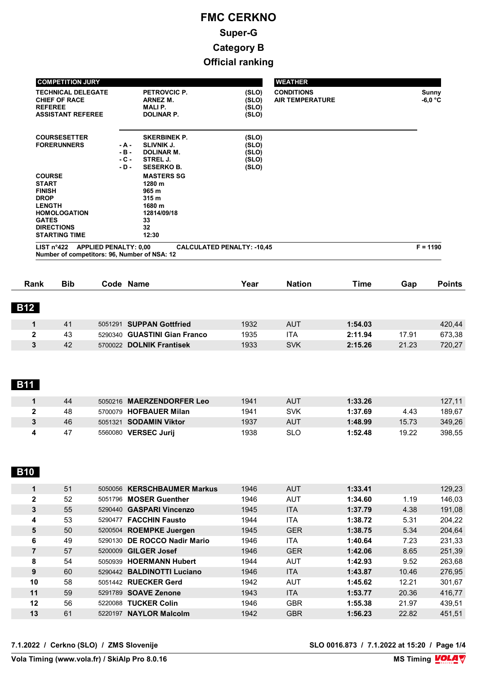| <b>COMPETITION JURY</b><br><b>TECHNICAL DELEGATE</b><br><b>CHIEF OF RACE</b><br><b>REFEREE</b><br><b>ASSISTANT REFEREE</b>                                         |                                   | <b>PETROVCIC P.</b><br>ARNEZ M.<br><b>MALIP.</b><br><b>DOLINAR P.</b>                          | (SLO)<br>(SLO)<br>(SLO)<br>(SLO)          | <b>WEATHER</b><br><b>CONDITIONS</b><br><b>AIR TEMPERATURE</b> | Sunny<br>$-6,0$ °C |
|--------------------------------------------------------------------------------------------------------------------------------------------------------------------|-----------------------------------|------------------------------------------------------------------------------------------------|-------------------------------------------|---------------------------------------------------------------|--------------------|
| <b>COURSESETTER</b><br><b>FORERUNNERS</b>                                                                                                                          | - A -<br>- B -<br>$-C -$<br>- D - | <b>SKERBINEK P.</b><br><b>SLIVNIK J.</b><br><b>DOLINAR M.</b><br>STREL J.<br><b>SESERKO B.</b> | (SLO)<br>(SLO)<br>(SLO)<br>(SLO)<br>(SLO) |                                                               |                    |
| <b>COURSE</b><br><b>START</b><br><b>FINISH</b><br><b>DROP</b><br><b>LENGTH</b><br><b>HOMOLOGATION</b><br><b>GATES</b><br><b>DIRECTIONS</b><br><b>STARTING TIME</b> |                                   | <b>MASTERS SG</b><br>1280 m<br>965 m<br>315 m<br>1680 m<br>12814/09/18<br>33<br>32<br>12:30    |                                           |                                                               |                    |
| <b>APPLIED PENALTY: 0,00</b><br>LIST $n^{\circ}422$<br>Number of competitors: 96, Number of NSA: 12                                                                |                                   |                                                                                                | <b>CALCULATED PENALTY: -10,45</b>         |                                                               | $F = 1190$         |

| <b>Rank</b>  | <b>Bib</b> | Code Name                          | Year | <b>Nation</b> | Time    | Gap   | <b>Points</b> |
|--------------|------------|------------------------------------|------|---------------|---------|-------|---------------|
|              |            |                                    |      |               |         |       |               |
| <b>B12</b>   |            |                                    |      |               |         |       |               |
|              | 41         | 5051291 SUPPAN Gottfried           | 1932 | <b>AUT</b>    | 1:54.03 |       | 420,44        |
|              |            |                                    |      |               |         |       |               |
| $\mathbf{2}$ | 43         | 5290340 GUASTINI Gian Franco       | 1935 | ITA           | 2:11.94 | 17.91 | 673,38        |
| 3            | 42         | <b>DOLNIK Frantisek</b><br>5700022 | 1933 | <b>SVK</b>    | 2:15.26 | 21.23 | 720,27        |

# **B11**

| 44 | <b>MAERZENDORFER Leo</b><br>5050216 | 1941 | AUT | 1:33.26 |       | 127,11 |
|----|-------------------------------------|------|-----|---------|-------|--------|
| 48 | 5700079 HOFBAUER Milan              | 1941 | SVK | 1:37.69 | 4.43  | 189,67 |
| 46 | <b>SODAMIN Viktor</b><br>5051321    | 1937 | AUT | 1:48.99 | 15.73 | 349,26 |
| 47 | <b>VERSEC Jurii</b><br>5560080      | 1938 | SLO | 1:52.48 | 19.22 | 398,55 |

## **B10**

|    | 51 |         | 5050056 KERSCHBAUMER Markus  | 1946 | <b>AUT</b> | 1:33.41 |       | 129,23 |
|----|----|---------|------------------------------|------|------------|---------|-------|--------|
| 2  | 52 | 5051796 | <b>MOSER Guenther</b>        | 1946 | <b>AUT</b> | 1:34.60 | 1.19  | 146.03 |
| 3  | 55 | 5290440 | <b>GASPARI Vincenzo</b>      | 1945 | <b>ITA</b> | 1:37.79 | 4.38  | 191,08 |
| 4  | 53 | 5290477 | <b>FACCHIN Fausto</b>        | 1944 | <b>ITA</b> | 1:38.72 | 5.31  | 204.22 |
| 5  | 50 |         | 5200504 ROEMPKE Juergen      | 1945 | <b>GER</b> | 1:38.75 | 5.34  | 204,64 |
| 6  | 49 |         | 5290130 DE ROCCO Nadir Mario | 1946 | <b>ITA</b> | 1:40.64 | 7.23  | 231.33 |
| 7  | 57 | 5200009 | <b>GILGER Josef</b>          | 1946 | <b>GER</b> | 1:42.06 | 8.65  | 251,39 |
| 8  | 54 |         | 5050939 HOERMANN Hubert      | 1944 | <b>AUT</b> | 1:42.93 | 9.52  | 263.68 |
| 9  | 60 | 5290442 | <b>BALDINOTTI Luciano</b>    | 1946 | <b>ITA</b> | 1:43.87 | 10.46 | 276.95 |
| 10 | 58 |         | 5051442 RUECKER Gerd         | 1942 | <b>AUT</b> | 1:45.62 | 12.21 | 301.67 |
| 11 | 59 | 5291789 | <b>SOAVE Zenone</b>          | 1943 | <b>ITA</b> | 1:53.77 | 20.36 | 416,77 |
| 12 | 56 | 5220088 | <b>TUCKER Colin</b>          | 1946 | <b>GBR</b> | 1:55.38 | 21.97 | 439.51 |
| 13 | 61 |         | 5220197 NAYLOR Malcolm       | 1942 | <b>GBR</b> | 1:56.23 | 22.82 | 451.51 |
|    |    |         |                              |      |            |         |       |        |

**7.1.2022 / Cerkno (SLO) / ZMS Slovenije SLO 0016.873 / 7.1.2022 at 15:20 / Page 1/4**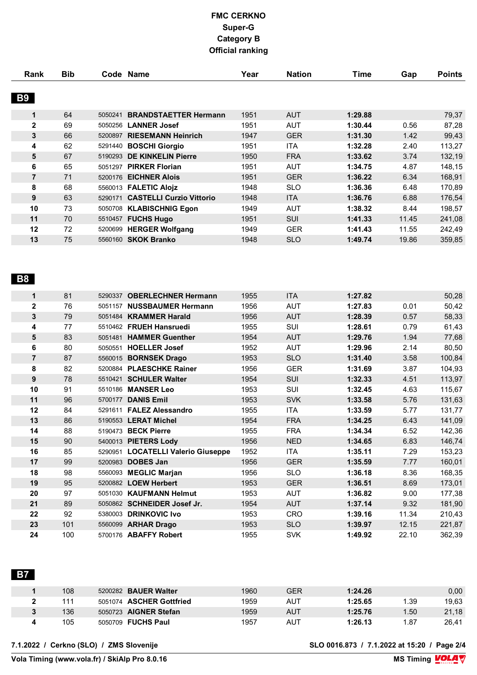| Rank           | <b>Bib</b> |         | Code Name                       | Year | <b>Nation</b> | <b>Time</b> |       | <b>Points</b> |
|----------------|------------|---------|---------------------------------|------|---------------|-------------|-------|---------------|
|                |            |         |                                 |      |               |             | Gap   |               |
|                |            |         |                                 |      |               |             |       |               |
| <b>B9</b>      |            |         |                                 |      |               |             |       |               |
| 1              | 64         | 5050241 | <b>BRANDSTAETTER Hermann</b>    | 1951 | <b>AUT</b>    | 1:29.88     |       | 79,37         |
| $\mathbf{2}$   | 69         | 5050256 | <b>LANNER Josef</b>             | 1951 | <b>AUT</b>    | 1:30.44     | 0.56  | 87,28         |
| 3              | 66         | 5200897 | <b>RIESEMANN Heinrich</b>       | 1947 | <b>GER</b>    | 1:31.30     | 1.42  | 99,43         |
| 4              | 62         |         | 5291440 BOSCHI Giorgio          | 1951 | <b>ITA</b>    | 1:32.28     | 2.40  | 113,27        |
| 5              | 67         | 5190293 | <b>DE KINKELIN Pierre</b>       | 1950 | <b>FRA</b>    | 1:33.62     | 3.74  | 132,19        |
| 6              | 65         | 5051297 | <b>PIRKER Florian</b>           | 1951 | <b>AUT</b>    | 1:34.75     | 4.87  | 148,15        |
| $\overline{7}$ | 71         | 5200176 | <b>EICHNER Alois</b>            | 1951 | <b>GER</b>    | 1:36.22     | 6.34  | 168,91        |
| 8              | 68         |         | 5560013 FALETIC Alojz           | 1948 | <b>SLO</b>    | 1:36.36     | 6.48  | 170,89        |
| 9              | 63         | 5290171 | <b>CASTELLI Curzio Vittorio</b> | 1948 | <b>ITA</b>    | 1:36.76     | 6.88  | 176,54        |
| 10             | 73         | 5050708 | <b>KLABISCHNIG Egon</b>         | 1949 | <b>AUT</b>    | 1:38.32     | 8.44  | 198,57        |
| 11             | 70         |         | 5510457 FUCHS Hugo              | 1951 | SUI           | 1:41.33     | 11.45 | 241,08        |
| 12             | 72         | 5200699 | <b>HERGER Wolfgang</b>          | 1949 | <b>GER</b>    | 1:41.43     | 11.55 | 242,49        |
| 13             | 75         | 5560160 | <b>SKOK Branko</b>              | 1948 | <b>SLO</b>    | 1:49.74     | 19.86 | 359,85        |
|                |            |         |                                 |      |               |             |       |               |
|                |            |         |                                 |      |               |             |       |               |
|                |            |         |                                 |      |               |             |       |               |
| <b>B8</b>      |            |         |                                 |      |               |             |       |               |
|                |            |         |                                 |      |               |             |       |               |
| $\mathbf 1$    | 81         | 5290337 | <b>OBERLECHNER Hermann</b>      | 1955 | <b>ITA</b>    | 1:27.82     |       | 50,28         |
| $\mathbf{2}$   | 76         | 5051157 | <b>NUSSBAUMER Hermann</b>       | 1956 | <b>AUT</b>    | 1:27.83     | 0.01  | 50,42         |
| 3              | 79         |         | 5051484 KRAMMER Harald          | 1956 | <b>AUT</b>    | 1:28.39     | 0.57  | 58,33         |
| 4              | 77         |         | 5510462 FRUEH Hansruedi         | 1955 | SUI           | 1:28.61     | 0.79  | 61,43         |
| 5              | 83         |         | 5051481 HAMMER Guenther         | 1954 | <b>AUT</b>    | 1:29.76     | 1.94  | 77,68         |
|                |            |         |                                 |      |               |             |       |               |

|                | $\mathbf{1}$ |         | ا 10 <del>4</del> 02 וועס הובטרון זאסופט | טטטו | ושט        | 1.20.VI | ບ. <i>ເ ວ</i> | ∪ ד,ו ט |
|----------------|--------------|---------|------------------------------------------|------|------------|---------|---------------|---------|
| 5              | 83           | 5051481 | <b>HAMMER Guenther</b>                   | 1954 | <b>AUT</b> | 1:29.76 | 1.94          | 77,68   |
| 6              | 80           | 5050551 | <b>HOELLER Josef</b>                     | 1952 | <b>AUT</b> | 1:29.96 | 2.14          | 80,50   |
| $\overline{7}$ | 87           | 5560015 | <b>BORNSEK Drago</b>                     | 1953 | <b>SLO</b> | 1:31.40 | 3.58          | 100,84  |
| 8              | 82           | 5200884 | <b>PLAESCHKE Rainer</b>                  | 1956 | <b>GER</b> | 1:31.69 | 3.87          | 104,93  |
| 9              | 78           | 5510421 | <b>SCHULER Walter</b>                    | 1954 | <b>SUI</b> | 1:32.33 | 4.51          | 113,97  |
| 10             | 91           | 5510186 | <b>MANSER Leo</b>                        | 1953 | SUI        | 1:32.45 | 4.63          | 115,67  |
| 11             | 96           | 5700177 | <b>DANIS Emil</b>                        | 1953 | <b>SVK</b> | 1:33.58 | 5.76          | 131,63  |
| 12             | 84           | 5291611 | <b>FALEZ Alessandro</b>                  | 1955 | <b>ITA</b> | 1:33.59 | 5.77          | 131,77  |
| 13             | 86           | 5190553 | <b>LERAT Michel</b>                      | 1954 | <b>FRA</b> | 1:34.25 | 6.43          | 141,09  |
| 14             | 88           | 5190473 | <b>BECK Pierre</b>                       | 1955 | <b>FRA</b> | 1:34.34 | 6.52          | 142,36  |
| 15             | 90           | 5400013 | <b>PIETERS Lody</b>                      | 1956 | <b>NED</b> | 1:34.65 | 6.83          | 146,74  |
| 16             | 85           |         | 5290951 LOCATELLI Valerio Giuseppe       | 1952 | ITA        | 1:35.11 | 7.29          | 153,23  |
| 17             | 99           | 5200983 | <b>DOBES Jan</b>                         | 1956 | <b>GER</b> | 1:35.59 | 7.77          | 160,01  |
| 18             | 98           | 5560093 | <b>MEGLIC Marjan</b>                     | 1956 | <b>SLO</b> | 1:36.18 | 8.36          | 168,35  |
| 19             | 95           |         | 5200882 LOEW Herbert                     | 1953 | <b>GER</b> | 1:36.51 | 8.69          | 173,01  |
| 20             | 97           | 5051030 | <b>KAUFMANN Helmut</b>                   | 1953 | AUT        | 1:36.82 | 9.00          | 177,38  |
| 21             | 89           |         | 5050862 SCHNEIDER Josef Jr.              | 1954 | <b>AUT</b> | 1:37.14 | 9.32          | 181,90  |
| 22             | 92           | 5380003 | <b>DRINKOVIC Ivo</b>                     | 1953 | <b>CRO</b> | 1:39.16 | 11.34         | 210,43  |
| 23             | 101          |         | 5560099 ARHAR Drago                      | 1953 | <b>SLO</b> | 1:39.97 | 12.15         | 221,87  |
| 24             | 100          |         | 5700176 ABAFFY Robert                    | 1955 | <b>SVK</b> | 1:49.92 | 22.10         | 362,39  |
|                |              |         |                                          |      |            |         |               |         |

 **B7** 

| 108 | <b>BAUER Walter</b><br>5200282 | 1960 | GER | 1:24.26 |     | 0,00  |
|-----|--------------------------------|------|-----|---------|-----|-------|
| 111 | 5051074 ASCHER Gottfried       | 1959 | AUT | 1:25.65 | .39 | 19,63 |
| 136 | 5050723 AIGNER Stefan          | 1959 | AUT | 1:25.76 | .50 | 21,18 |
| 105 | <b>FUCHS Paul</b><br>5050709   | 1957 | AUT | 1:26.13 | .87 | 26,41 |

**7.1.2022 / Cerkno (SLO) / ZMS Slovenije SLO 0016.873 / 7.1.2022 at 15:20 / Page 2/4**

**Vola Timing (www.vola.fr) / SkiAlp Pro 8.0.16**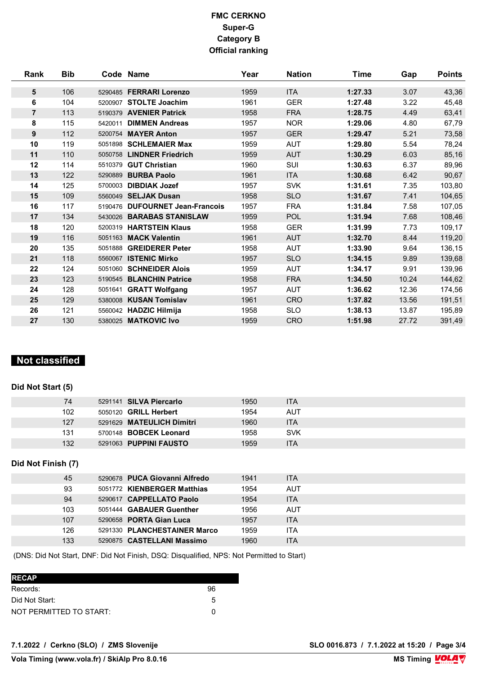| <b>Rank</b>    | <b>Bib</b> |         | Code Name                       | Year | <b>Nation</b> | Time    | Gap   | <b>Points</b> |
|----------------|------------|---------|---------------------------------|------|---------------|---------|-------|---------------|
| 5              | 106        |         | 5290485 FERRARI Lorenzo         | 1959 | <b>ITA</b>    | 1:27.33 | 3.07  | 43,36         |
| 6              | 104        | 5200907 | <b>STOLTE Joachim</b>           | 1961 | <b>GER</b>    | 1:27.48 | 3.22  | 45,48         |
| $\overline{7}$ | 113        |         | 5190379 AVENIER Patrick         | 1958 | <b>FRA</b>    | 1:28.75 | 4.49  | 63,41         |
| 8              | 115        | 5420011 | <b>DIMMEN Andreas</b>           | 1957 | <b>NOR</b>    | 1:29.06 | 4.80  | 67,79         |
| 9              | 112        |         | 5200754 MAYER Anton             | 1957 | <b>GER</b>    | 1:29.47 | 5.21  | 73,58         |
| 10             | 119        |         | 5051898 SCHLEMAIER Max          | 1959 | <b>AUT</b>    | 1:29.80 | 5.54  | 78,24         |
| 11             | 110        |         | 5050758 LINDNER Friedrich       | 1959 | <b>AUT</b>    | 1:30.29 | 6.03  | 85,16         |
| 12             | 114        | 5510379 | <b>GUT Christian</b>            | 1960 | SUI           | 1:30.63 | 6.37  | 89,96         |
| 13             | 122        | 5290889 | <b>BURBA Paolo</b>              | 1961 | <b>ITA</b>    | 1:30.68 | 6.42  | 90,67         |
| 14             | 125        | 5700003 | <b>DIBDIAK Jozef</b>            | 1957 | <b>SVK</b>    | 1:31.61 | 7.35  | 103,80        |
| 15             | 109        |         | 5560049 SELJAK Dusan            | 1958 | <b>SLO</b>    | 1:31.67 | 7.41  | 104,65        |
| 16             | 117        |         | 5190476 DUFOURNET Jean-Francois | 1957 | <b>FRA</b>    | 1:31.84 | 7.58  | 107,05        |
| 17             | 134        |         | 5430026 BARABAS STANISLAW       | 1959 | <b>POL</b>    | 1:31.94 | 7.68  | 108,46        |
| 18             | 120        |         | 5200319 HARTSTEIN Klaus         | 1958 | <b>GER</b>    | 1:31.99 | 7.73  | 109,17        |
| 19             | 116        |         | 5051163 MACK Valentin           | 1961 | <b>AUT</b>    | 1:32.70 | 8.44  | 119,20        |
| 20             | 135        |         | 5051888 GREIDERER Peter         | 1958 | <b>AUT</b>    | 1:33.90 | 9.64  | 136,15        |
| 21             | 118        |         | 5560067 ISTENIC Mirko           | 1957 | <b>SLO</b>    | 1:34.15 | 9.89  | 139,68        |
| 22             | 124        |         | 5051060 SCHNEIDER Alois         | 1959 | <b>AUT</b>    | 1:34.17 | 9.91  | 139,96        |
| 23             | 123        |         | 5190545 BLANCHIN Patrice        | 1958 | <b>FRA</b>    | 1:34.50 | 10.24 | 144,62        |
| 24             | 128        |         | 5051641 GRATT Wolfgang          | 1957 | <b>AUT</b>    | 1:36.62 | 12.36 | 174,56        |
| 25             | 129        |         | 5380008 KUSAN Tomislav          | 1961 | <b>CRO</b>    | 1:37.82 | 13.56 | 191,51        |
| 26             | 121        |         | 5560042 HADZIC Hilmija          | 1958 | <b>SLO</b>    | 1:38.13 | 13.87 | 195,89        |
| 27             | 130        |         | 5380025 MATKOVIC Ivo            | 1959 | <b>CRO</b>    | 1:51.98 | 27.72 | 391,49        |

## **Not classified**

### **Did Not Start (5)**

| 74  | 5291141 SILVA Piercarlo       | 1950 | ITA        |
|-----|-------------------------------|------|------------|
| 102 | 5050120 <b>GRILL Herbert</b>  | 1954 | AUT        |
| 127 | 5291629 MATEULICH Dimitri     | 1960 | ITA        |
| 131 | 5700148 <b>BOBCEK Leonard</b> | 1958 | <b>SVK</b> |
| 132 | 5291063 <b>PUPPINI FAUSTO</b> | 1959 | <b>ITA</b> |

### **Did Not Finish (7)**

| 45  | 5290678 PUCA Giovanni Alfredo | 1941 | <b>ITA</b> |
|-----|-------------------------------|------|------------|
| 93  | 5051772 KIENBERGER Matthias   | 1954 | <b>AUT</b> |
| 94  | 5290617 CAPPELLATO Paolo      | 1954 | <b>ITA</b> |
| 103 | 5051444 GABAUER Guenther      | 1956 | <b>AUT</b> |
| 107 | 5290658 PORTA Gian Luca       | 1957 | <b>ITA</b> |
| 126 | 5291330 PLANCHESTAINER Marco  | 1959 | ITA        |
| 133 | 5290875 CASTELLANI Massimo    | 1960 | <b>ITA</b> |
|     |                               |      |            |

(DNS: Did Not Start, DNF: Did Not Finish, DSQ: Disqualified, NPS: Not Permitted to Start)

| <b>RECAP</b>            |    |
|-------------------------|----|
| Records:                | 96 |
| Did Not Start:          | 5  |
| NOT PERMITTED TO START: | O  |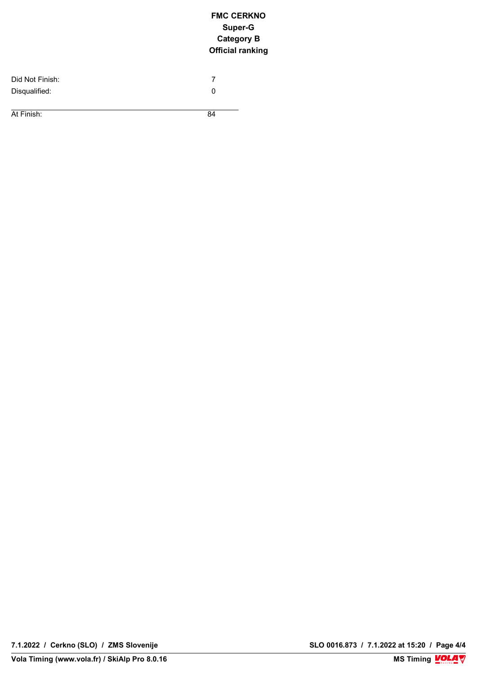| Did Not Finish: |    |  |
|-----------------|----|--|
| Disqualified:   |    |  |
|                 |    |  |
| At Finish:      | 84 |  |

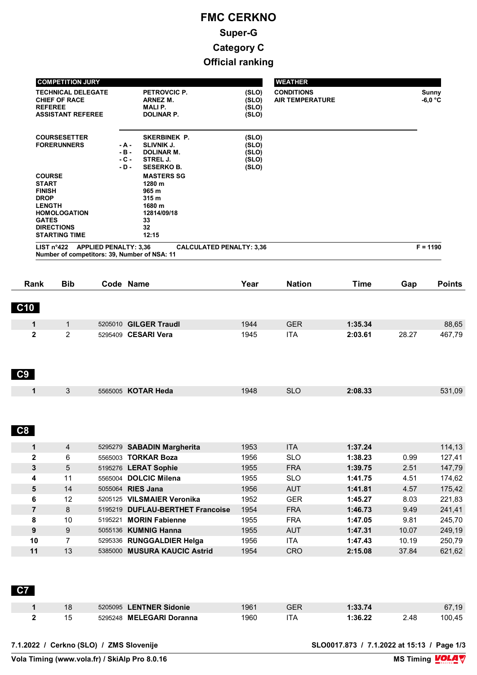| <b>COMPETITION JURY</b>                                                                                                                                            |                                      |                                                                                                        |                                           | <b>WEATHER</b>                              |                    |
|--------------------------------------------------------------------------------------------------------------------------------------------------------------------|--------------------------------------|--------------------------------------------------------------------------------------------------------|-------------------------------------------|---------------------------------------------|--------------------|
| <b>TECHNICAL DELEGATE</b><br><b>CHIEF OF RACE</b><br><b>REFEREE</b><br><b>ASSISTANT REFEREE</b>                                                                    |                                      | PETROVCIC P.<br>ARNEZ M.<br><b>MALIP.</b><br><b>DOLINAR P.</b>                                         | (SLO)<br>(SLO)<br>(SLO)<br>(SLO)          | <b>CONDITIONS</b><br><b>AIR TEMPERATURE</b> | Sunny<br>$-6,0$ °C |
| <b>COURSESETTER</b><br><b>FORERUNNERS</b>                                                                                                                          | $-A -$<br>$-B -$<br>$-C -$<br>$-D -$ | SKERBINEK P.<br><b>SLIVNIK J.</b><br><b>DOLINAR M.</b><br>STREL J.<br><b>SESERKO B.</b>                | (SLO)<br>(SLO)<br>(SLO)<br>(SLO)<br>(SLO) |                                             |                    |
| <b>COURSE</b><br><b>START</b><br><b>FINISH</b><br><b>DROP</b><br><b>LENGTH</b><br><b>HOMOLOGATION</b><br><b>GATES</b><br><b>DIRECTIONS</b><br><b>STARTING TIME</b> |                                      | <b>MASTERS SG</b><br>1280 m<br>965 m<br>315 <sub>m</sub><br>1680 m<br>12814/09/18<br>33<br>32<br>12:15 |                                           |                                             |                    |
| <b>APPLIED PENALTY: 3,36</b><br>LIST n <sup>°</sup> 422<br>Number of competitors: 39, Number of NSA: 11                                                            |                                      |                                                                                                        | <b>CALCULATED PENALTY: 3,36</b>           |                                             | $F = 1190$         |

| Rank         | <b>Bib</b> | Code Name             | Year | <b>Nation</b> | <b>Time</b> | Gap   | <b>Points</b> |
|--------------|------------|-----------------------|------|---------------|-------------|-------|---------------|
| <b>C10</b>   |            |                       |      |               |             |       |               |
|              |            |                       |      |               |             |       |               |
|              |            | 5205010 GILGER Traudl | 1944 | <b>GER</b>    | 1:35.34     |       | 88,65         |
| $\mathbf{2}$ | 2          | 5295409 CESARI Vera   | 1945 | <b>ITA</b>    | 2:03.61     | 28.27 | 467,79        |
|              |            |                       |      |               |             |       |               |

## **C9**

| 5565005 KOTAR Heda<br>531.09<br>1948<br>2:08.33<br><b></b><br>--- |  |  |  |  |
|-------------------------------------------------------------------|--|--|--|--|
|                                                                   |  |  |  |  |

## **C8**

 **C7** 

| 1            | 4  |         | 5295279 SABADIN Margherita      | 1953 | <b>ITA</b> | 1:37.24 |       | 114,13 |
|--------------|----|---------|---------------------------------|------|------------|---------|-------|--------|
| $\mathbf{2}$ | 6  |         | 5565003 <b>TORKAR Boza</b>      | 1956 | <b>SLO</b> | 1:38.23 | 0.99  | 127,41 |
| 3            | 5  |         | 5195276 LERAT Sophie            | 1955 | <b>FRA</b> | 1:39.75 | 2.51  | 147,79 |
| 4            | 11 | 5565004 | <b>DOLCIC Milena</b>            | 1955 | <b>SLO</b> | 1:41.75 | 4.51  | 174.62 |
| 5            | 14 | 5055064 | <b>RIES Jana</b>                | 1956 | <b>AUT</b> | 1:41.81 | 4.57  | 175,42 |
| 6            | 12 |         | 5205125 VILSMAIER Veronika      | 1952 | <b>GER</b> | 1:45.27 | 8.03  | 221,83 |
| 7            | 8  | 5195219 | <b>DUFLAU-BERTHET Francoise</b> | 1954 | <b>FRA</b> | 1:46.73 | 9.49  | 241,41 |
| 8            | 10 | 5195221 | <b>MORIN Fabienne</b>           | 1955 | <b>FRA</b> | 1:47.05 | 9.81  | 245.70 |
| 9            | 9  |         | 5055136 KUMNIG Hanna            | 1955 | <b>AUT</b> | 1:47.31 | 10.07 | 249,19 |
| 10           |    | 5295336 | <b>RUNGGALDIER Helga</b>        | 1956 | <b>ITA</b> | 1:47.43 | 10.19 | 250,79 |
| 11           | 13 | 5385000 | <b>MUSURA KAUCIC Astrid</b>     | 1954 | <b>CRO</b> | 2:15.08 | 37.84 | 621,62 |

| $\overline{\mathbf{v}}$ |    |                          |      |     |         |      |        |
|-------------------------|----|--------------------------|------|-----|---------|------|--------|
|                         | 18 | 5205095 LENTNER Sidonie  | 1961 | GER | 1:33.74 |      | 67,19  |
|                         |    | 5295248 MELEGARI Doranna | 1960 | ITA | 1:36.22 | 2.48 | 100.45 |

**7.1.2022 / Cerkno (SLO) / ZMS Slovenije SLO0017.873 / 7.1.2022 at 15:13 / Page 1/3**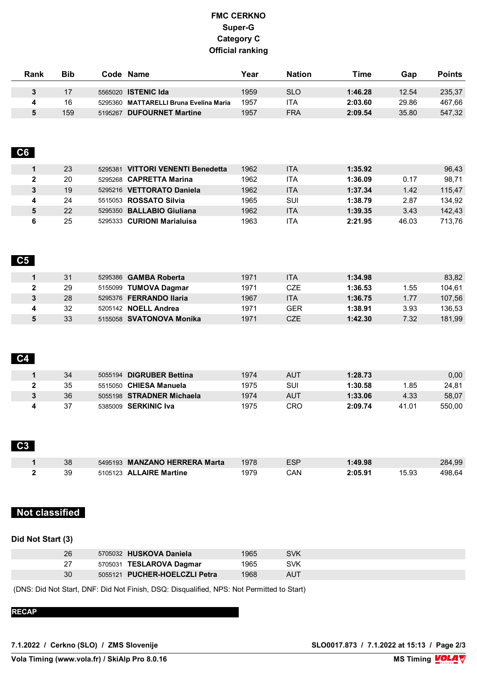| Rank | <b>Bib</b> | Code Name                              | Year | <b>Nation</b> | Time    | Gap   | <b>Points</b> |
|------|------------|----------------------------------------|------|---------------|---------|-------|---------------|
|      |            |                                        |      |               |         |       |               |
|      |            | 5565020 <b>ISTENIC Ida</b>             | 1959 | SLO           | 1:46.28 | 12.54 | 235,37        |
|      | 16         | 5295360 MATTARELLI Bruna Evelina Maria | 1957 | 'TA           | 2:03.60 | 29.86 | 467,66        |
|      | 159        | 5195267 DUFOURNET Martine              | 1957 | <b>FRA</b>    | 2:09.54 | 35.80 | 547,32        |

### **C6**

|   | 23 | VITTORI VENENTI Benedetta<br>5295381 | 1962 | <b>ITA</b> | 1:35.92 |       | 96,43  |
|---|----|--------------------------------------|------|------------|---------|-------|--------|
|   | 20 | 5295268 <b>CAPRETTA Marina</b>       | 1962 | ITA        | 1:36.09 | 0.17  | 98.71  |
|   | 19 | 5295216 VETTORATO Daniela            | 1962 | <b>ITA</b> | 1:37.34 | 1.42  | 115.47 |
| 4 | 24 | 5515053 <b>ROSSATO Silvia</b>        | 1965 | SUI        | 1:38.79 | 2.87  | 134.92 |
|   | 22 | <b>BALLABIO Giuliana</b><br>5295350  | 1962 | <b>ITA</b> | 1:39.35 | 3.43  | 142,43 |
|   | 25 | <b>CURIONI Marialuisa</b><br>5295333 | 1963 | ITA        | 2:21.95 | 46.03 | 713.76 |

#### **C5**

| 31 | 5295386 <b>GAMBA Roberta</b> | 1971 | ITA | 1:34.98 |      | 83,82  |
|----|------------------------------|------|-----|---------|------|--------|
| 29 | 5155099 TUMOVA Dagmar        | 1971 | CZE | 1:36.53 | .55  | 104,61 |
| 28 | 5295376 FERRANDO Ilaria      | 1967 | ITA | 1:36.75 | 1.77 | 107,56 |
| 32 | 5205142 <b>NOELL Andrea</b>  | 1971 | GER | 1:38.91 | 3.93 | 136,53 |
| 33 | 5155058 SVATONOVA Monika     | 1971 | CZE | 1:42.30 | 7.32 | 181,99 |

## **C4**

| 34 | <b>DIGRUBER Bettina</b><br>5055194 | 1974 | AUT | 1:28.73 |       | 0,00   |
|----|------------------------------------|------|-----|---------|-------|--------|
| 35 | <b>CHIESA Manuela</b><br>5515050   | 1975 | SUI | 1:30.58 | .85   | 24,81  |
| 36 | 5055198 STRADNER Michaela          | 1974 | AUT | 1:33.06 | 4.33  | 58,07  |
| 37 | <b>SERKINIC Iva</b><br>5385009     | 1975 | CRO | 2:09.74 | 41.01 | 550.00 |

#### **C3**

| 38 | 5495193 MANZANO HERRERA Marta | 1978 | ESP | 1:49.98 |       | 284,99 |
|----|-------------------------------|------|-----|---------|-------|--------|
| 39 | 5105123 ALLAIRE Martine       | 1979 | CAN | 2:05.91 | 15.93 | 498.64 |

## **Not classified**

## **Did Not Start (3)**

| 26 | 5705032 HUSKOVA Daniela       | 1965 | <b>SVK</b> |  |
|----|-------------------------------|------|------------|--|
|    | 5705031 TESLAROVA Dagmar      | 1965 | SVK        |  |
| 30 | 5055121 PUCHER-HOELCZLI Petra | 1968 | AUT        |  |

(DNS: Did Not Start, DNF: Did Not Finish, DSQ: Disqualified, NPS: Not Permitted to Start)

**RECAP**

**7.1.2022 / Cerkno (SLO) / ZMS Slovenije SLO0017.873 / 7.1.2022 at 15:13 / Page 2/3**

**Vola Timing (www.vola.fr) / SkiAlp Pro 8.0.16**